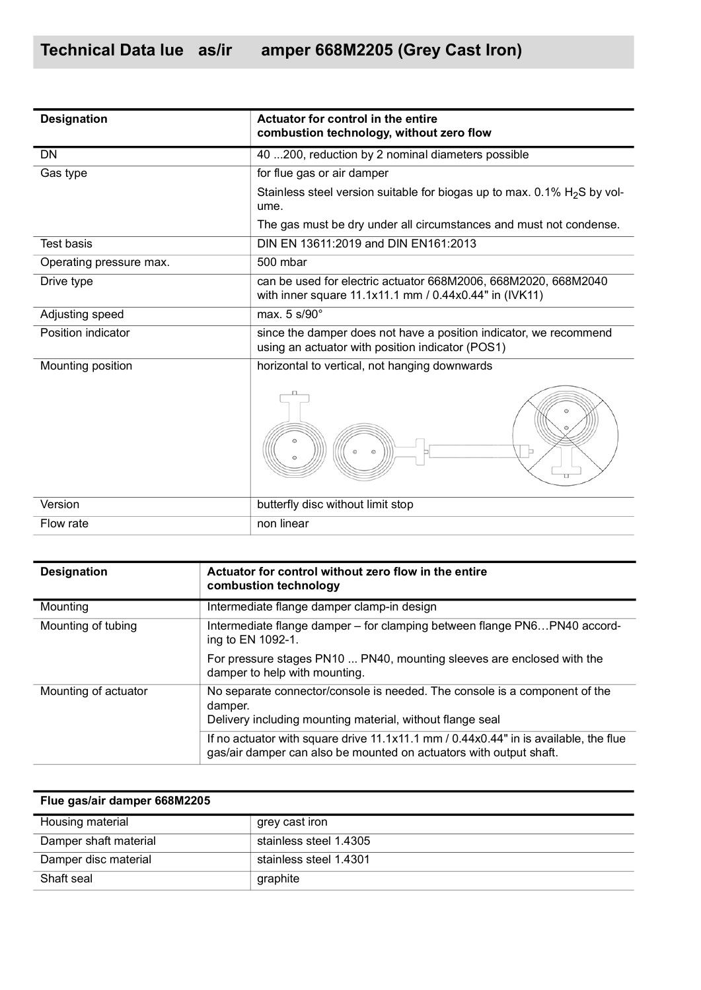| <b>Designation</b>      | Actuator for control in the entire<br>combustion technology, without zero flow                                           |  |  |
|-------------------------|--------------------------------------------------------------------------------------------------------------------------|--|--|
| <b>DN</b>               | 40  200, reduction by 2 nominal diameters possible                                                                       |  |  |
| Gas type                | for flue gas or air damper                                                                                               |  |  |
|                         | Stainless steel version suitable for biogas up to max. 0.1% $H2S$ by vol-<br>ume.                                        |  |  |
|                         | The gas must be dry under all circumstances and must not condense.                                                       |  |  |
| <b>Test basis</b>       | DIN EN 13611:2019 and DIN EN161:2013                                                                                     |  |  |
| Operating pressure max. | 500 mbar                                                                                                                 |  |  |
| Drive type              | can be used for electric actuator 668M2006, 668M2020, 668M2040<br>with inner square 11.1x11.1 mm / 0.44x0.44" in (IVK11) |  |  |
| Adjusting speed         | max. 5 s/90°                                                                                                             |  |  |
| Position indicator      | since the damper does not have a position indicator, we recommend<br>using an actuator with position indicator (POS1)    |  |  |
| Mounting position       | horizontal to vertical, not hanging downwards                                                                            |  |  |
|                         | $\odot$<br>$\odot$<br>$\odot$<br>$\odot$                                                                                 |  |  |
| Version                 | butterfly disc without limit stop                                                                                        |  |  |
| Flow rate               | non linear                                                                                                               |  |  |

| <b>Designation</b>   | Actuator for control without zero flow in the entire<br>combustion technology                                                                              |
|----------------------|------------------------------------------------------------------------------------------------------------------------------------------------------------|
| Mounting             | Intermediate flange damper clamp-in design                                                                                                                 |
| Mounting of tubing   | Intermediate flange damper - for clamping between flange PN6PN40 accord-<br>ing to EN 1092-1.                                                              |
|                      | For pressure stages PN10  PN40, mounting sleeves are enclosed with the<br>damper to help with mounting.                                                    |
| Mounting of actuator | No separate connector/console is needed. The console is a component of the<br>damper.<br>Delivery including mounting material, without flange seal         |
|                      | If no actuator with square drive 11.1x11.1 mm / 0.44x0.44" in is available, the flue<br>gas/air damper can also be mounted on actuators with output shaft. |

| Flue gas/air damper 668M2205 |                        |
|------------------------------|------------------------|
| Housing material             | grey cast iron         |
| Damper shaft material        | stainless steel 1.4305 |
| Damper disc material         | stainless steel 1.4301 |
| Shaft seal                   | graphite               |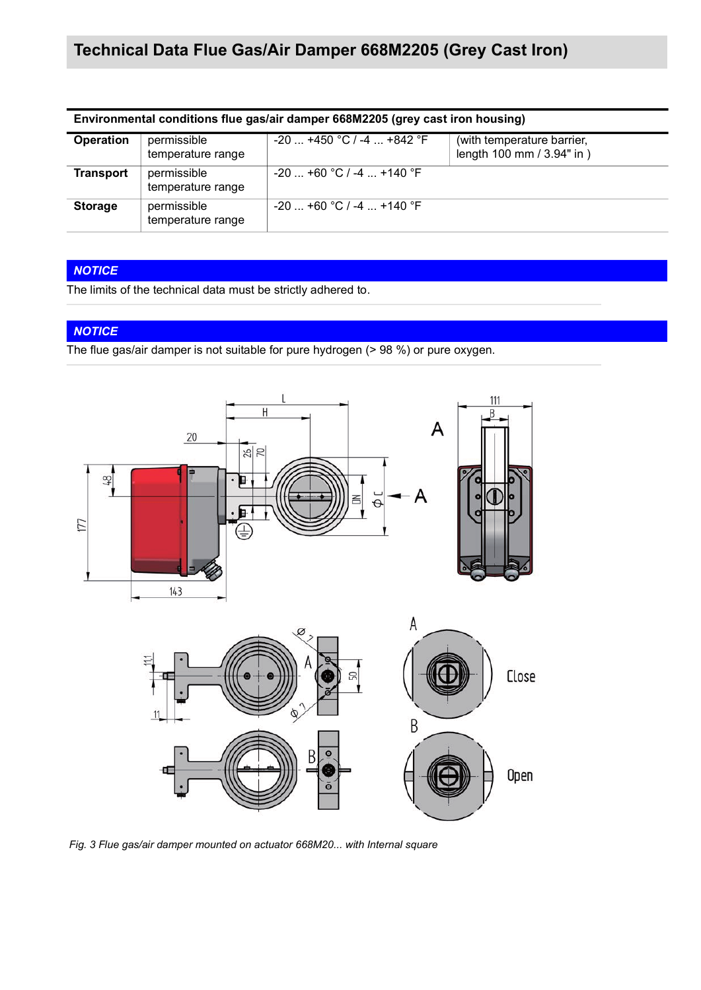| Environmental conditions flue gas/air damper 668M2205 (grey cast iron housing) |                                  |                             |                                                          |  |  |
|--------------------------------------------------------------------------------|----------------------------------|-----------------------------|----------------------------------------------------------|--|--|
| <b>Operation</b>                                                               | permissible<br>temperature range | $-20$ +450 °C / -4  +842 °F | (with temperature barrier,<br>length 100 mm / 3.94" in ) |  |  |
| <b>Transport</b>                                                               | permissible<br>temperature range | $-20$ +60 °C / -4  +140 °F  |                                                          |  |  |
| <b>Storage</b>                                                                 | permissible<br>temperature range | $-20$ +60 °C / -4  +140 °F  |                                                          |  |  |

### *NOTICE*

The limits of the technical data must be strictly adhered to.

### *NOTICE*

The flue gas/air damper is not suitable for pure hydrogen (> 98 %) or pure oxygen.



*Fig. 3 Flue gas/air damper mounted on actuator 668M20... with Internal square*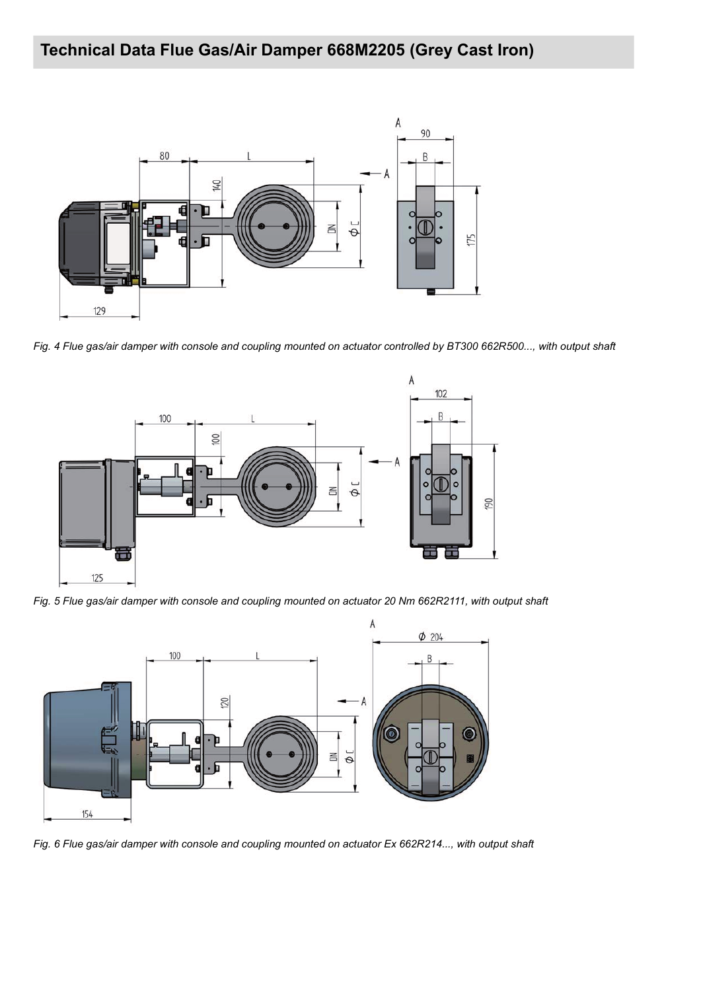

*Fig. 4 Flue gas/air damper with console and coupling mounted on actuator controlled by BT300 662R500..., with output shaft*



*Fig. 5 Flue gas/air damper with console and coupling mounted on actuator 20 Nm 662R2111, with output shaft*



*Fig. 6 Flue gas/air damper with console and coupling mounted on actuator Ex 662R214..., with output shaft*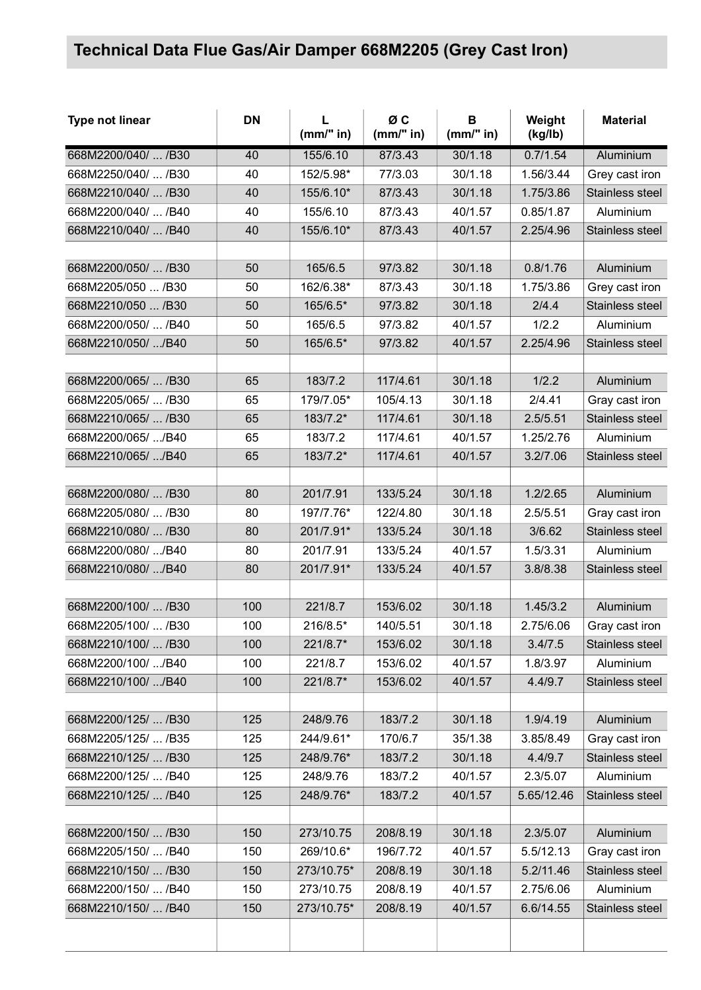| Type not linear     | <b>DN</b> | L<br>(mm" in) | ØC<br>(mm" in) | B<br>(mm" in) | Weight<br>(kg/lb) | <b>Material</b> |
|---------------------|-----------|---------------|----------------|---------------|-------------------|-----------------|
| 668M2200/040/  /B30 | 40        | 155/6.10      | 87/3.43        | 30/1.18       | 0.7/1.54          | Aluminium       |
| 668M2250/040/  /B30 | 40        | 152/5.98*     | 77/3.03        | 30/1.18       | 1.56/3.44         | Grey cast iron  |
| 668M2210/040/  /B30 | 40        | 155/6.10*     | 87/3.43        | 30/1.18       | 1.75/3.86         | Stainless steel |
| 668M2200/040/  /B40 | 40        | 155/6.10      | 87/3.43        | 40/1.57       | 0.85/1.87         | Aluminium       |
| 668M2210/040/  /B40 | 40        | 155/6.10*     | 87/3.43        | 40/1.57       | 2.25/4.96         | Stainless steel |
|                     |           |               |                |               |                   |                 |
| 668M2200/050/  /B30 | 50        | 165/6.5       | 97/3.82        | 30/1.18       | 0.8/1.76          | Aluminium       |
| 668M2205/050  /B30  | 50        | 162/6.38*     | 87/3.43        | 30/1.18       | 1.75/3.86         | Grey cast iron  |
| 668M2210/050  /B30  | 50        | 165/6.5*      | 97/3.82        | 30/1.18       | 2/4.4             | Stainless steel |
| 668M2200/050/  /B40 | 50        | 165/6.5       | 97/3.82        | 40/1.57       | 1/2.2             | Aluminium       |
| 668M2210/050/ /B40  | 50        | 165/6.5*      | 97/3.82        | 40/1.57       | 2.25/4.96         | Stainless steel |
|                     |           |               |                |               |                   |                 |
| 668M2200/065/  /B30 | 65        | 183/7.2       | 117/4.61       | 30/1.18       | 1/2.2             | Aluminium       |
| 668M2205/065/  /B30 | 65        | 179/7.05*     | 105/4.13       | 30/1.18       | 2/4.41            | Gray cast iron  |
| 668M2210/065/  /B30 | 65        | 183/7.2*      | 117/4.61       | 30/1.18       | 2.5/5.51          | Stainless steel |
| 668M2200/065/ /B40  | 65        | 183/7.2       | 117/4.61       | 40/1.57       | 1.25/2.76         | Aluminium       |
| 668M2210/065/ /B40  | 65        | 183/7.2*      | 117/4.61       | 40/1.57       | 3.2/7.06          | Stainless steel |
|                     |           |               |                |               |                   |                 |
| 668M2200/080/  /B30 | 80        | 201/7.91      | 133/5.24       | 30/1.18       | 1.2/2.65          | Aluminium       |
| 668M2205/080/  /B30 | 80        | 197/7.76*     | 122/4.80       | 30/1.18       | 2.5/5.51          | Gray cast iron  |
| 668M2210/080/  /B30 | 80        | 201/7.91*     | 133/5.24       | 30/1.18       | 3/6.62            | Stainless steel |
| 668M2200/080/ /B40  | 80        | 201/7.91      | 133/5.24       | 40/1.57       | 1.5/3.31          | Aluminium       |
| 668M2210/080/ /B40  | 80        | 201/7.91*     | 133/5.24       | 40/1.57       | 3.8/8.38          | Stainless steel |
|                     |           |               |                |               |                   |                 |
| 668M2200/100/  /B30 | 100       | 221/8.7       | 153/6.02       | 30/1.18       | 1.45/3.2          | Aluminium       |
| 668M2205/100/  /B30 | 100       | 216/8.5*      | 140/5.51       | 30/1.18       | 2.75/6.06         | Gray cast iron  |
| 668M2210/100/  /B30 | 100       | 221/8.7*      | 153/6.02       | 30/1.18       | 3.4/7.5           | Stainless steel |
| 668M2200/100/ /B40  | 100       | 221/8.7       | 153/6.02       | 40/1.57       | 1.8/3.97          | Aluminium       |
| 668M2210/100/ /B40  | 100       | 221/8.7*      | 153/6.02       | 40/1.57       | 4.4/9.7           | Stainless steel |
|                     |           |               |                |               |                   |                 |
| 668M2200/125/  /B30 | 125       | 248/9.76      | 183/7.2        | 30/1.18       | 1.9/4.19          | Aluminium       |
| 668M2205/125/  /B35 | 125       | 244/9.61*     | 170/6.7        | 35/1.38       | 3.85/8.49         | Gray cast iron  |
| 668M2210/125/  /B30 | 125       | 248/9.76*     | 183/7.2        | 30/1.18       | 4.4/9.7           | Stainless steel |
| 668M2200/125/  /B40 | 125       | 248/9.76      | 183/7.2        | 40/1.57       | 2.3/5.07          | Aluminium       |
| 668M2210/125/  /B40 | 125       | 248/9.76*     | 183/7.2        | 40/1.57       | 5.65/12.46        | Stainless steel |
|                     |           |               |                |               |                   |                 |
| 668M2200/150/  /B30 | 150       | 273/10.75     | 208/8.19       | 30/1.18       | 2.3/5.07          | Aluminium       |
| 668M2205/150/  /B40 | 150       | 269/10.6*     | 196/7.72       | 40/1.57       | 5.5/12.13         | Gray cast iron  |
| 668M2210/150/  /B30 | 150       | 273/10.75*    | 208/8.19       | 30/1.18       | 5.2/11.46         | Stainless steel |
| 668M2200/150/  /B40 | 150       | 273/10.75     | 208/8.19       | 40/1.57       | 2.75/6.06         | Aluminium       |
| 668M2210/150/  /B40 | 150       | 273/10.75*    | 208/8.19       | 40/1.57       | 6.6/14.55         | Stainless steel |
|                     |           |               |                |               |                   |                 |
|                     |           |               |                |               |                   |                 |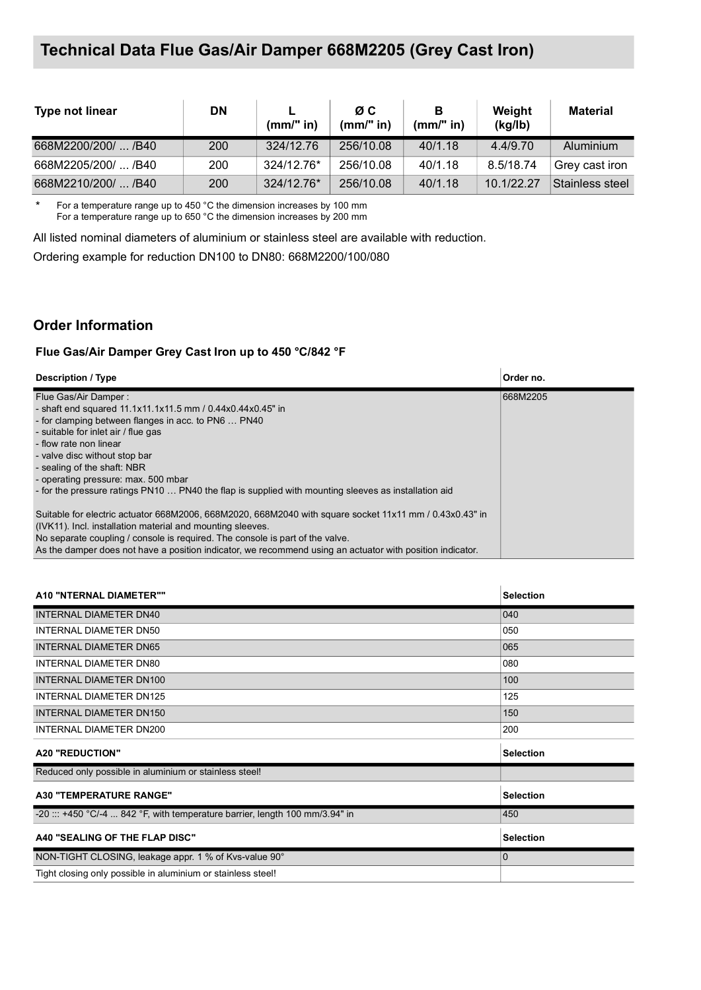| <b>Type not linear</b> | <b>DN</b> | $(mm)$ " in) | ØC.<br>$(mm)$ " in) | В<br>(mm/" in) | Weight<br>(kq/lb) | <b>Material</b> |
|------------------------|-----------|--------------|---------------------|----------------|-------------------|-----------------|
| 668M2200/200/  /B40    | 200       | 324/12.76    | 256/10.08           | 40/1.18        | 4.4/9.70          | Aluminium       |
| 668M2205/200/  /B40    | 200       | 324/12.76*   | 256/10.08           | 40/1.18        | 8.5/18.74         | Grey cast iron  |
| 668M2210/200/  /B40    | 200       | 324/12.76*   | 256/10.08           | 40/1.18        | 10.1/22.27        | Stainless steel |

\* For a temperature range up to 450 °C the dimension increases by 100 mm For a temperature range up to 650 °C the dimension increases by 200 mm

All listed nominal diameters of aluminium or stainless steel are available with reduction.

Ordering example for reduction DN100 to DN80: 668M2200/100/080

#### **Order Information**

#### **Flue Gas/Air Damper Grey Cast Iron up to 450 °C/842 °F**

| <b>Description / Type</b>                                                                                                                                             | Order no. |
|-----------------------------------------------------------------------------------------------------------------------------------------------------------------------|-----------|
| Flue Gas/Air Damper:                                                                                                                                                  | 668M2205  |
| - shaft end squared 11.1x11.1x11.5 mm / 0.44x0.44x0.45" in                                                                                                            |           |
| - for clamping between flanges in acc. to PN6  PN40                                                                                                                   |           |
| - suitable for inlet air / flue gas                                                                                                                                   |           |
| - flow rate non linear                                                                                                                                                |           |
| - valve disc without stop bar                                                                                                                                         |           |
| - sealing of the shaft: NBR                                                                                                                                           |           |
| - operating pressure: max. 500 mbar                                                                                                                                   |           |
| - for the pressure ratings PN10  PN40 the flap is supplied with mounting sleeves as installation aid                                                                  |           |
| Suitable for electric actuator 668M2006, 668M2020, 668M2040 with square socket 11x11 mm / 0.43x0.43" in<br>(IVK11). Incl. installation material and mounting sleeves. |           |
| No separate coupling / console is required. The console is part of the valve.                                                                                         |           |
| As the damper does not have a position indicator, we recommend using an actuator with position indicator.                                                             |           |

| A10 "NTERNAL DIAMETER""                                                      | <b>Selection</b> |
|------------------------------------------------------------------------------|------------------|
| INTERNAL DIAMETER DN40                                                       | 040              |
| INTERNAL DIAMETER DN50                                                       | 050              |
| <b>INTERNAL DIAMETER DN65</b>                                                | 065              |
| <b>INTERNAL DIAMETER DN80</b>                                                | 080              |
| INTERNAL DIAMETER DN100                                                      | 100              |
| <b>INTERNAL DIAMETER DN125</b>                                               | 125              |
| INTERNAL DIAMETER DN150                                                      | 150              |
| INTERNAL DIAMETER DN200                                                      | 200              |
| <b>A20 "REDUCTION"</b>                                                       | <b>Selection</b> |
| Reduced only possible in aluminium or stainless steel!                       |                  |
| <b>A30 "TEMPERATURE RANGE"</b>                                               | <b>Selection</b> |
| -20 ::: +450 °C/-4  842 °F, with temperature barrier, length 100 mm/3.94" in | 450              |
| A40 "SEALING OF THE FLAP DISC"                                               | <b>Selection</b> |
| NON-TIGHT CLOSING, leakage appr. 1 % of Kvs-value 90°                        | $\Omega$         |
| Tight closing only possible in aluminium or stainless steel!                 |                  |